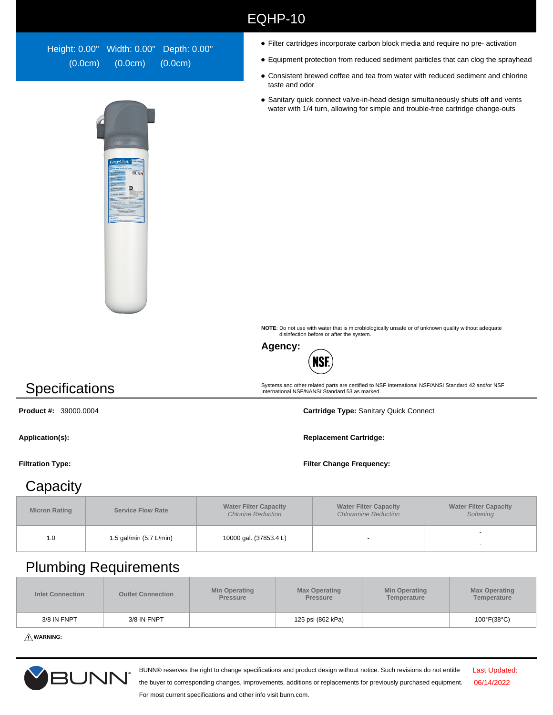| Height: 0.00" Width: 0.00" Depth: 0.00" |         |         |
|-----------------------------------------|---------|---------|
| (0.0cm)                                 | (0.0cm) | (0.0cm) |



- Filter cartridges incorporate carbon block media and require no pre- activation
- Equipment protection from reduced sediment particles that can clog the sprayhead
- Consistent brewed coffee and tea from water with reduced sediment and chlorine taste and odor
- Sanitary quick connect valve-in-head design simultaneously shuts off and vents water with 1/4 turn, allowing for simple and trouble-free cartridge change-outs

**NOTE**: Do not use with water that is microbiologically unsafe or of unknown quality without adequate disinfection before or after the system.

Systems and other related parts are certified to NSF International NSF/ANSI Standard 42 and/or NSF International NSF/NANSI Standard 53 as marked.



EQHP-10

## **Specifications**

**Product #:** 39000.0004 **Cartridge Type:** Sanitary Quick Connect

Application(s): **Replacement Cartridge: Replacement Cartridge: Replacement Cartridge:** 

### **Capacity**

**Micron Rating Service Flow Rate Water Filter Capacity**  Chlorine Reduction **Water Filter Capacity**  Chloramine Reduction **Water Filter Capacity Softening** 1.0 1.5 gal/min (5.7 L/min) 10000 gal. (37853.4 L) -

#### Plumbing Requirements

| Inlet Connection | <b>Outlet Connection</b> | <b>Min Operating</b><br><b>Pressure</b> | <b>Max Operating</b><br><b>Pressure</b> | <b>Min Operating</b><br>Temperature | <b>Max Operating</b><br>Temperature |
|------------------|--------------------------|-----------------------------------------|-----------------------------------------|-------------------------------------|-------------------------------------|
| 3/8 IN FNPT      | 3/8 IN FNPT              |                                         | 125 psi (862 kPa)                       |                                     | $100^{\circ}$ F(38 $^{\circ}$ C)    |

**WARNING:**



BUNN® reserves the right to change specifications and product design without notice. Such revisions do not entitle

Last Updated: 06/14/2022

the buyer to corresponding changes, improvements, additions or replacements for previously purchased equipment. For most current specifications and other info visit bunn.com.

**Filtration Type: Filter Change Frequency:**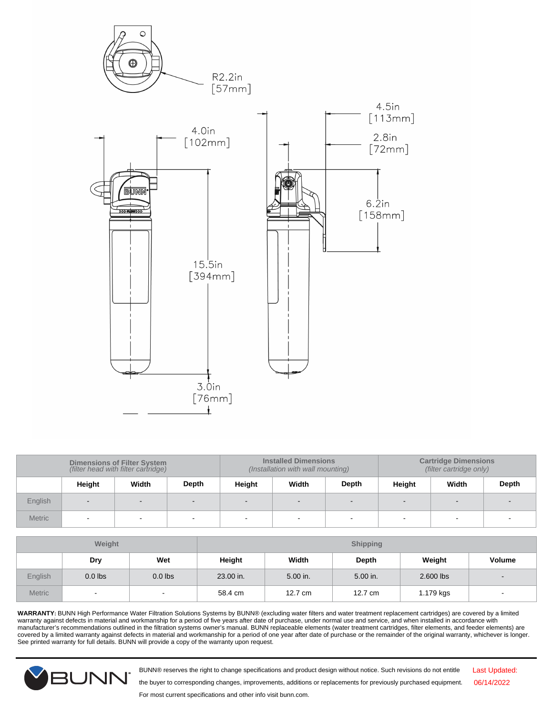

| <b>Dimensions of Filter System</b><br>(filter head with filter cartridge) |                          |       | <b>Installed Dimensions</b><br>(Installation with wall mounting) |        |        | <b>Cartridge Dimensions</b><br>(filter cartridge only) |        |                          |       |
|---------------------------------------------------------------------------|--------------------------|-------|------------------------------------------------------------------|--------|--------|--------------------------------------------------------|--------|--------------------------|-------|
|                                                                           | Height                   | Width | Depth                                                            | Height | Width  | <b>Depth</b>                                           | Height | Width                    | Depth |
| English                                                                   | $\blacksquare$           |       |                                                                  |        | $\sim$ |                                                        |        |                          |       |
| <b>Metric</b>                                                             | $\overline{\phantom{a}}$ |       | $\overline{\phantom{a}}$                                         | $\sim$ |        |                                                        |        | $\overline{\phantom{a}}$ |       |

| Weight        |           | <b>Shipping</b>          |           |          |          |           |                          |
|---------------|-----------|--------------------------|-----------|----------|----------|-----------|--------------------------|
|               | Dry       | Wet                      | Height    | Width    | Depth    | Weight    | <b>Volume</b>            |
| English       | $0.0$ lbs | $0.0$ lbs                | 23.00 in. | 5.00 in. | 5.00 in. | 2.600 lbs | $\overline{\phantom{a}}$ |
| <b>Metric</b> | $\sim$    | $\overline{\phantom{0}}$ | 58.4 cm   | 12.7 cm  | 12.7 cm  | 1.179 kgs | $\overline{\phantom{a}}$ |

**WARRANTY:** BUNN High Performance Water Filtration Solutions Systems by BUNN® (excluding water filters and water treatment replacement cartridges) are covered by a limited warranty against defects in material and workmanship for a period of five years after date of purchase, under normal use and service, and when installed in accordance with<br>manufacturer's recommendations outlined in the fil covered by a limited warranty against defects in material and workmanship for a period of one year after date of purchase or the remainder of the original warranty, whichever is longer. See printed warranty for full details. BUNN will provide a copy of the warranty upon request.



BUNN® reserves the right to change specifications and product design without notice. Such revisions do not entitle

Last Updated: 06/14/2022

the buyer to corresponding changes, improvements, additions or replacements for previously purchased equipment.

For most current specifications and other info visit bunn.com.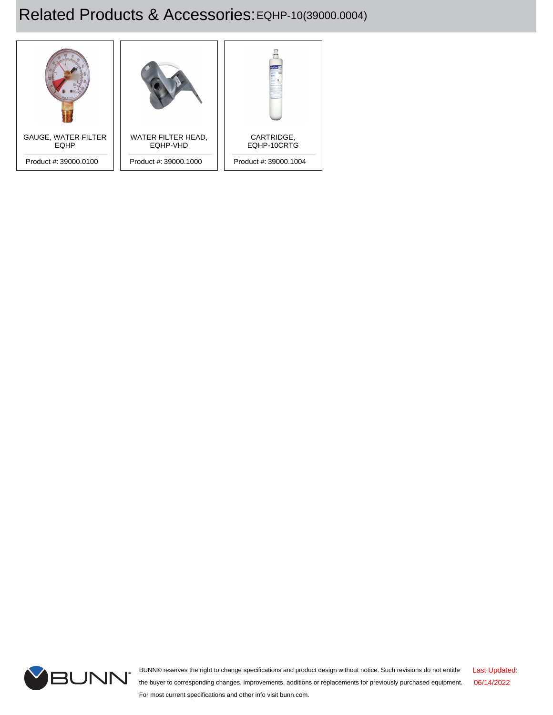# Related Products & Accessories: EQHP-10(39000.0004)





BUNN® reserves the right to change specifications and product design without notice. Such revisions do not entitle the buyer to corresponding changes, improvements, additions or replacements for previously purchased equipment. For most current specifications and other info visit bunn.com. Last Updated: 06/14/2022